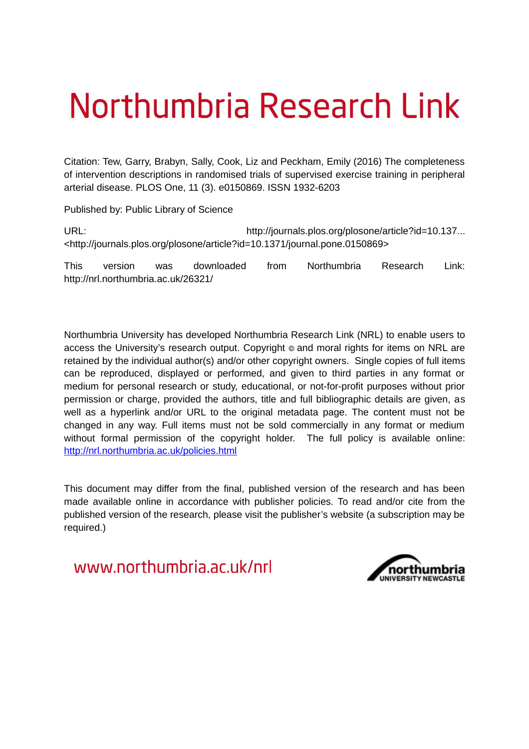# Northumbria Research Link

Citation: Tew, Garry, Brabyn, Sally, Cook, Liz and Peckham, Emily (2016) The completeness of intervention descriptions in randomised trials of supervised exercise training in peripheral arterial disease. PLOS One, 11 (3). e0150869. ISSN 1932-6203

Published by: Public Library of Science

```
URL: http://journals.plos.org/plosone/article?id=10.137... 
<http://journals.plos.org/plosone/article?id=10.1371/journal.pone.0150869>
```
This version was downloaded from Northumbria Research Link: http://nrl.northumbria.ac.uk/26321/

Northumbria University has developed Northumbria Research Link (NRL) to enable users to access the University's research output. Copyright  $\circ$  and moral rights for items on NRL are retained by the individual author(s) and/or other copyright owners. Single copies of full items can be reproduced, displayed or performed, and given to third parties in any format or medium for personal research or study, educational, or not-for-profit purposes without prior permission or charge, provided the authors, title and full bibliographic details are given, as well as a hyperlink and/or URL to the original metadata page. The content must not be changed in any way. Full items must not be sold commercially in any format or medium without formal permission of the copyright holder. The full policy is available online: <http://nrl.northumbria.ac.uk/policies.html>

This document may differ from the final, published version of the research and has been made available online in accordance with publisher policies. To read and/or cite from the published version of the research, please visit the publisher's website (a subscription may be required.)

www.northumbria.ac.uk/nrl

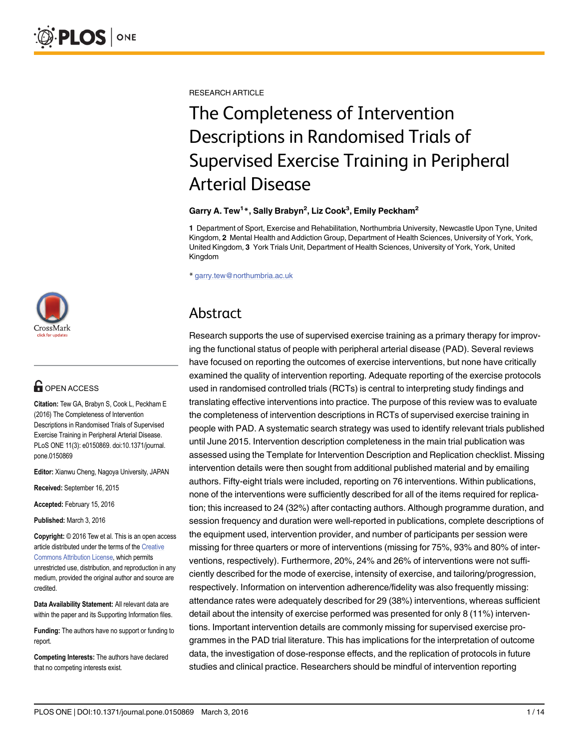<span id="page-1-0"></span>RESEARCH ARTICLE

## The Completeness of Intervention Descriptions in Randomised Trials of Supervised Exercise Training in Peripheral Arterial Disease

#### Garry A. Tew<sup>1</sup>\*, Sally Brabyn<sup>2</sup>, Liz Cook<sup>3</sup>, Emily Peckham<sup>2</sup>

1 Department of Sport, Exercise and Rehabilitation, Northumbria University, Newcastle Upon Tyne, United Kingdom, 2 Mental Health and Addiction Group, Department of Health Sciences, University of York, York, United Kingdom, 3 York Trials Unit, Department of Health Sciences, University of York, York, United Kingdom

\* garry.tew@northumbria.ac.uk

### Abstract

Research supports the use of supervised exercise training as a primary therapy for improving the functional status of people with peripheral arterial disease (PAD). Several reviews have focused on reporting the outcomes of exercise interventions, but none have critically examined the quality of intervention reporting. Adequate reporting of the exercise protocols used in randomised controlled trials (RCTs) is central to interpreting study findings and translating effective interventions into practice. The purpose of this review was to evaluate the completeness of intervention descriptions in RCTs of supervised exercise training in people with PAD. A systematic search strategy was used to identify relevant trials published until June 2015. Intervention description completeness in the main trial publication was assessed using the Template for Intervention Description and Replication checklist. Missing intervention details were then sought from additional published material and by emailing authors. Fifty-eight trials were included, reporting on 76 interventions. Within publications, none of the interventions were sufficiently described for all of the items required for replication; this increased to 24 (32%) after contacting authors. Although programme duration, and session frequency and duration were well-reported in publications, complete descriptions of the equipment used, intervention provider, and number of participants per session were missing for three quarters or more of interventions (missing for 75%, 93% and 80% of interventions, respectively). Furthermore, 20%, 24% and 26% of interventions were not sufficiently described for the mode of exercise, intensity of exercise, and tailoring/progression, respectively. Information on intervention adherence/fidelity was also frequently missing: attendance rates were adequately described for 29 (38%) interventions, whereas sufficient detail about the intensity of exercise performed was presented for only 8 (11%) interventions. Important intervention details are commonly missing for supervised exercise programmes in the PAD trial literature. This has implications for the interpretation of outcome data, the investigation of dose-response effects, and the replication of protocols in future studies and clinical practice. Researchers should be mindful of intervention reporting



## **G** OPEN ACCESS

Citation: Tew GA, Brabyn S, Cook L, Peckham E (2016) The Completeness of Intervention Descriptions in Randomised Trials of Supervised Exercise Training in Peripheral Arterial Disease. PLoS ONE 11(3): e0150869. doi:10.1371/journal. pone.0150869

Editor: Xianwu Cheng, Nagoya University, JAPAN

Received: September 16, 2015

Accepted: February 15, 2016

Published: March 3, 2016

Copyright: © 2016 Tew et al. This is an open access article distributed under the terms of the [Creative](http://creativecommons.org/licenses/by/4.0/) [Commons Attribution License](http://creativecommons.org/licenses/by/4.0/), which permits unrestricted use, distribution, and reproduction in any medium, provided the original author and source are credited.

Data Availability Statement: All relevant data are within the paper and its Supporting Information files.

Funding: The authors have no support or funding to report.

Competing Interests: The authors have declared that no competing interests exist.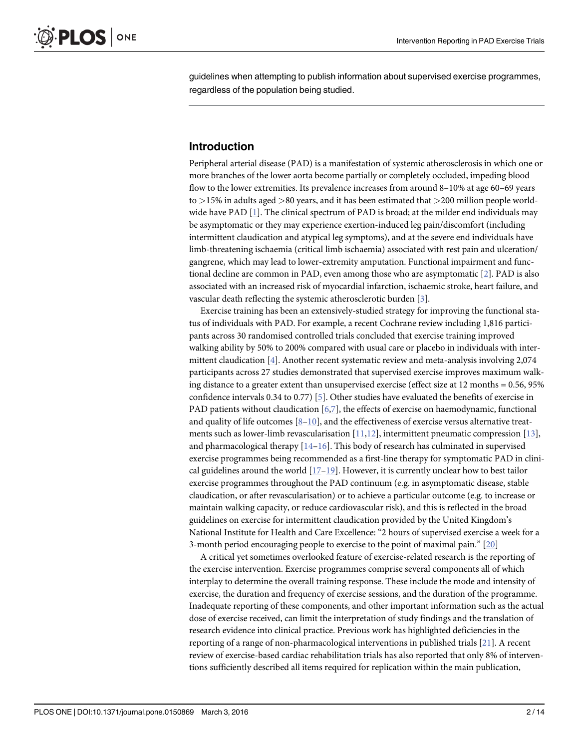<span id="page-2-0"></span>guidelines when attempting to publish information about supervised exercise programmes, regardless of the population being studied.

#### Introduction

Peripheral arterial disease (PAD) is a manifestation of systemic atherosclerosis in which one or more branches of the lower aorta become partially or completely occluded, impeding blood flow to the lower extremities. Its prevalence increases from around 8–10% at age 60–69 years to  $>15\%$  in adults aged  $>80$  years, and it has been estimated that  $>200$  million people worldwide have PAD  $[1]$ . The clinical spectrum of PAD is broad; at the milder end individuals may be asymptomatic or they may experience exertion-induced leg pain/discomfort (including intermittent claudication and atypical leg symptoms), and at the severe end individuals have limb-threatening ischaemia (critical limb ischaemia) associated with rest pain and ulceration/ gangrene, which may lead to lower-extremity amputation. Functional impairment and functional decline are common in PAD, even among those who are asymptomatic [[2\]](#page-11-0). PAD is also associated with an increased risk of myocardial infarction, ischaemic stroke, heart failure, and vascular death reflecting the systemic atherosclerotic burden [\[3](#page-11-0)].

Exercise training has been an extensively-studied strategy for improving the functional status of individuals with PAD. For example, a recent Cochrane review including 1,816 participants across 30 randomised controlled trials concluded that exercise training improved walking ability by 50% to 200% compared with usual care or placebo in individuals with intermittent claudication [[4\]](#page-11-0). Another recent systematic review and meta-analysis involving 2,074 participants across 27 studies demonstrated that supervised exercise improves maximum walking distance to a greater extent than unsupervised exercise (effect size at 12 months = 0.56, 95% confidence intervals 0.34 to 0.77) [\[5](#page-11-0)]. Other studies have evaluated the benefits of exercise in PAD patients without claudication  $[6,7]$ , the effects of exercise on haemodynamic, functional and quality of life outcomes  $[8-10]$  $[8-10]$  $[8-10]$ , and the effectiveness of exercise versus alternative treatments such as lower-limb revascularisation [\[11,12\]](#page-12-0), intermittent pneumatic compression [[13](#page-12-0)], and pharmacological therapy  $[14-16]$  $[14-16]$  $[14-16]$ . This body of research has culminated in supervised exercise programmes being recommended as a first-line therapy for symptomatic PAD in clinical guidelines around the world  $[17-19]$  $[17-19]$  $[17-19]$  $[17-19]$ . However, it is currently unclear how to best tailor exercise programmes throughout the PAD continuum (e.g. in asymptomatic disease, stable claudication, or after revascularisation) or to achieve a particular outcome (e.g. to increase or maintain walking capacity, or reduce cardiovascular risk), and this is reflected in the broad guidelines on exercise for intermittent claudication provided by the United Kingdom's National Institute for Health and Care Excellence: "2 hours of supervised exercise a week for a 3-month period encouraging people to exercise to the point of maximal pain." [\[20\]](#page-12-0)

A critical yet sometimes overlooked feature of exercise-related research is the reporting of the exercise intervention. Exercise programmes comprise several components all of which interplay to determine the overall training response. These include the mode and intensity of exercise, the duration and frequency of exercise sessions, and the duration of the programme. Inadequate reporting of these components, and other important information such as the actual dose of exercise received, can limit the interpretation of study findings and the translation of research evidence into clinical practice. Previous work has highlighted deficiencies in the reporting of a range of non-pharmacological interventions in published trials [\[21\]](#page-12-0). A recent review of exercise-based cardiac rehabilitation trials has also reported that only 8% of interventions sufficiently described all items required for replication within the main publication,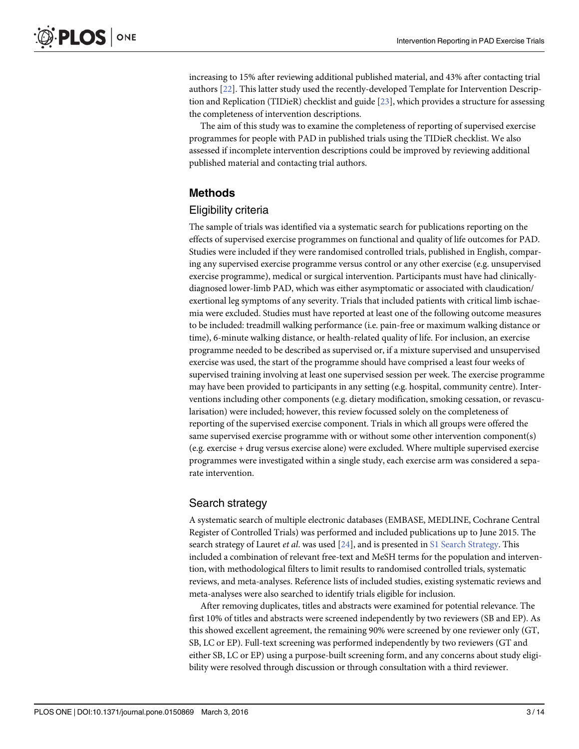<span id="page-3-0"></span>increasing to 15% after reviewing additional published material, and 43% after contacting trial authors [[22](#page-12-0)]. This latter study used the recently-developed Template for Intervention Description and Replication (TIDieR) checklist and guide [\[23\]](#page-13-0), which provides a structure for assessing the completeness of intervention descriptions.

The aim of this study was to examine the completeness of reporting of supervised exercise programmes for people with PAD in published trials using the TIDieR checklist. We also assessed if incomplete intervention descriptions could be improved by reviewing additional published material and contacting trial authors.

#### Methods

#### Eligibility criteria

The sample of trials was identified via a systematic search for publications reporting on the effects of supervised exercise programmes on functional and quality of life outcomes for PAD. Studies were included if they were randomised controlled trials, published in English, comparing any supervised exercise programme versus control or any other exercise (e.g. unsupervised exercise programme), medical or surgical intervention. Participants must have had clinicallydiagnosed lower-limb PAD, which was either asymptomatic or associated with claudication/ exertional leg symptoms of any severity. Trials that included patients with critical limb ischaemia were excluded. Studies must have reported at least one of the following outcome measures to be included: treadmill walking performance (i.e. pain-free or maximum walking distance or time), 6-minute walking distance, or health-related quality of life. For inclusion, an exercise programme needed to be described as supervised or, if a mixture supervised and unsupervised exercise was used, the start of the programme should have comprised a least four weeks of supervised training involving at least one supervised session per week. The exercise programme may have been provided to participants in any setting (e.g. hospital, community centre). Interventions including other components (e.g. dietary modification, smoking cessation, or revascularisation) were included; however, this review focussed solely on the completeness of reporting of the supervised exercise component. Trials in which all groups were offered the same supervised exercise programme with or without some other intervention component(s) (e.g. exercise + drug versus exercise alone) were excluded. Where multiple supervised exercise programmes were investigated within a single study, each exercise arm was considered a separate intervention.

#### Search strategy

A systematic search of multiple electronic databases (EMBASE, MEDLINE, Cochrane Central Register of Controlled Trials) was performed and included publications up to June 2015. The search strategy of Lauret et al. was used [[24](#page-13-0)], and is presented in [S1 Search Strategy](#page-11-0). This included a combination of relevant free-text and MeSH terms for the population and intervention, with methodological filters to limit results to randomised controlled trials, systematic reviews, and meta-analyses. Reference lists of included studies, existing systematic reviews and meta-analyses were also searched to identify trials eligible for inclusion.

After removing duplicates, titles and abstracts were examined for potential relevance. The first 10% of titles and abstracts were screened independently by two reviewers (SB and EP). As this showed excellent agreement, the remaining 90% were screened by one reviewer only (GT, SB, LC or EP). Full-text screening was performed independently by two reviewers (GT and either SB, LC or EP) using a purpose-built screening form, and any concerns about study eligibility were resolved through discussion or through consultation with a third reviewer.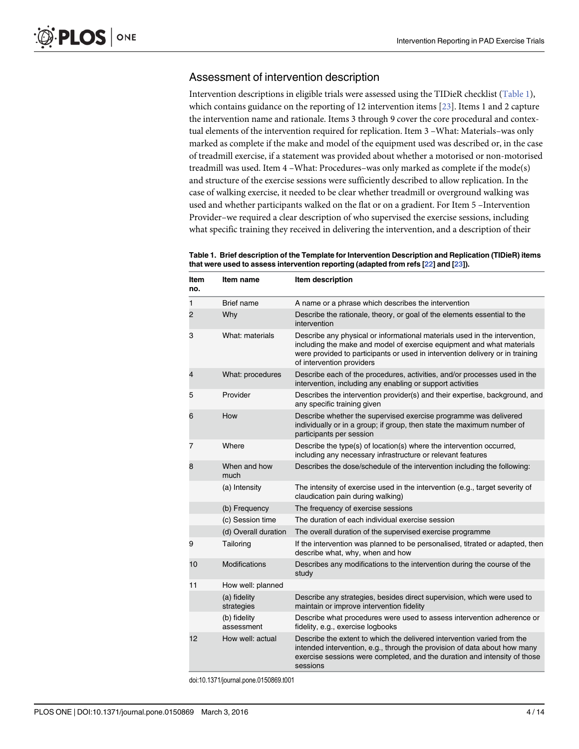#### <span id="page-4-0"></span>Assessment of intervention description

Intervention descriptions in eligible trials were assessed using the TIDieR checklist [\(Table 1\)](#page-3-0), which contains guidance on the reporting of 12 intervention items [[23](#page-13-0)]. Items 1 and 2 capture the intervention name and rationale. Items 3 through 9 cover the core procedural and contextual elements of the intervention required for replication. Item 3 –What: Materials–was only marked as complete if the make and model of the equipment used was described or, in the case of treadmill exercise, if a statement was provided about whether a motorised or non-motorised treadmill was used. Item 4 –What: Procedures–was only marked as complete if the mode(s) and structure of the exercise sessions were sufficiently described to allow replication. In the case of walking exercise, it needed to be clear whether treadmill or overground walking was used and whether participants walked on the flat or on a gradient. For Item 5 –Intervention Provider–we required a clear description of who supervised the exercise sessions, including what specific training they received in delivering the intervention, and a description of their

| <b>Hart</b>                                                                        | Home company | the second special state of                                                                            |  |  |
|------------------------------------------------------------------------------------|--------------|--------------------------------------------------------------------------------------------------------|--|--|
| that were used to assess intervention reporting (adapted from refs [22] and [23]). |              |                                                                                                        |  |  |
|                                                                                    |              | Table 1. Brief description of the Template for Intervention Description and Replication (TIDieR) items |  |  |

| Item<br>no. | Item name                  | Item description                                                                                                                                                                                                                                                  |
|-------------|----------------------------|-------------------------------------------------------------------------------------------------------------------------------------------------------------------------------------------------------------------------------------------------------------------|
| 1           | Brief name                 | A name or a phrase which describes the intervention                                                                                                                                                                                                               |
| 2           | Why                        | Describe the rationale, theory, or goal of the elements essential to the<br>intervention                                                                                                                                                                          |
| 3           | What: materials            | Describe any physical or informational materials used in the intervention,<br>including the make and model of exercise equipment and what materials<br>were provided to participants or used in intervention delivery or in training<br>of intervention providers |
| 4           | What: procedures           | Describe each of the procedures, activities, and/or processes used in the<br>intervention, including any enabling or support activities                                                                                                                           |
| 5           | Provider                   | Describes the intervention provider(s) and their expertise, background, and<br>any specific training given                                                                                                                                                        |
| 6           | How                        | Describe whether the supervised exercise programme was delivered<br>individually or in a group; if group, then state the maximum number of<br>participants per session                                                                                            |
| 7           | Where                      | Describe the type(s) of location(s) where the intervention occurred,<br>including any necessary infrastructure or relevant features                                                                                                                               |
| 8           | When and how<br>much       | Describes the dose/schedule of the intervention including the following:                                                                                                                                                                                          |
|             | (a) Intensity              | The intensity of exercise used in the intervention (e.g., target severity of<br>claudication pain during walking)                                                                                                                                                 |
|             | (b) Frequency              | The frequency of exercise sessions                                                                                                                                                                                                                                |
|             | (c) Session time           | The duration of each individual exercise session                                                                                                                                                                                                                  |
|             | (d) Overall duration       | The overall duration of the supervised exercise programme                                                                                                                                                                                                         |
| 9           | Tailoring                  | If the intervention was planned to be personalised, titrated or adapted, then<br>describe what, why, when and how                                                                                                                                                 |
| 10          | <b>Modifications</b>       | Describes any modifications to the intervention during the course of the<br>study                                                                                                                                                                                 |
| 11          | How well: planned          |                                                                                                                                                                                                                                                                   |
|             | (a) fidelity<br>strategies | Describe any strategies, besides direct supervision, which were used to<br>maintain or improve intervention fidelity                                                                                                                                              |
|             | (b) fidelity<br>assessment | Describe what procedures were used to assess intervention adherence or<br>fidelity, e.g., exercise logbooks                                                                                                                                                       |
| 12          | How well: actual           | Describe the extent to which the delivered intervention varied from the<br>intended intervention, e.g., through the provision of data about how many<br>exercise sessions were completed, and the duration and intensity of those<br>sessions                     |
|             |                            |                                                                                                                                                                                                                                                                   |

doi:10.1371/journal.pone.0150869.t001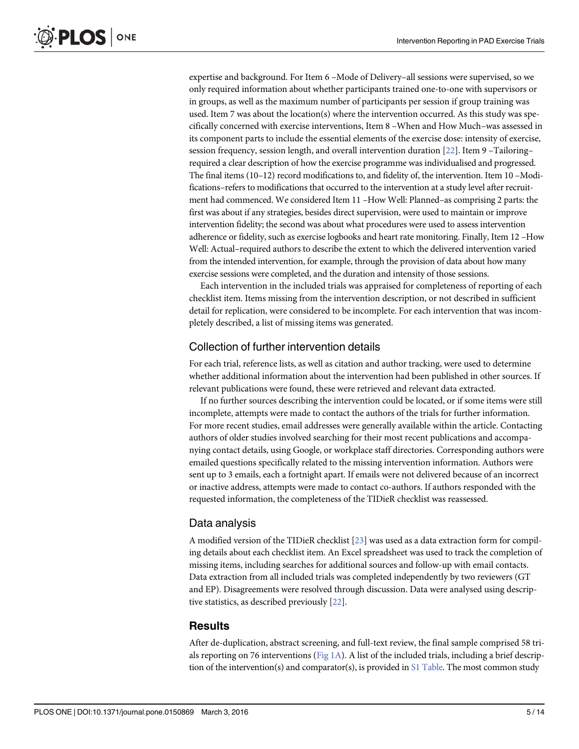<span id="page-5-0"></span>expertise and background. For Item 6 –Mode of Delivery–all sessions were supervised, so we only required information about whether participants trained one-to-one with supervisors or in groups, as well as the maximum number of participants per session if group training was used. Item 7 was about the location(s) where the intervention occurred. As this study was specifically concerned with exercise interventions, Item 8 –When and How Much–was assessed in its component parts to include the essential elements of the exercise dose: intensity of exercise, session frequency, session length, and overall intervention duration [[22](#page-12-0)]. Item 9 –Tailoring– required a clear description of how the exercise programme was individualised and progressed. The final items (10–12) record modifications to, and fidelity of, the intervention. Item 10 –Modifications–refers to modifications that occurred to the intervention at a study level after recruitment had commenced. We considered Item 11 –How Well: Planned–as comprising 2 parts: the first was about if any strategies, besides direct supervision, were used to maintain or improve intervention fidelity; the second was about what procedures were used to assess intervention adherence or fidelity, such as exercise logbooks and heart rate monitoring. Finally, Item 12 –How Well: Actual–required authors to describe the extent to which the delivered intervention varied from the intended intervention, for example, through the provision of data about how many exercise sessions were completed, and the duration and intensity of those sessions.

Each intervention in the included trials was appraised for completeness of reporting of each checklist item. Items missing from the intervention description, or not described in sufficient detail for replication, were considered to be incomplete. For each intervention that was incompletely described, a list of missing items was generated.

#### Collection of further intervention details

For each trial, reference lists, as well as citation and author tracking, were used to determine whether additional information about the intervention had been published in other sources. If relevant publications were found, these were retrieved and relevant data extracted.

If no further sources describing the intervention could be located, or if some items were still incomplete, attempts were made to contact the authors of the trials for further information. For more recent studies, email addresses were generally available within the article. Contacting authors of older studies involved searching for their most recent publications and accompanying contact details, using Google, or workplace staff directories. Corresponding authors were emailed questions specifically related to the missing intervention information. Authors were sent up to 3 emails, each a fortnight apart. If emails were not delivered because of an incorrect or inactive address, attempts were made to contact co-authors. If authors responded with the requested information, the completeness of the TIDieR checklist was reassessed.

#### Data analysis

A modified version of the TIDieR checklist [\[23\]](#page-13-0) was used as a data extraction form for compiling details about each checklist item. An Excel spreadsheet was used to track the completion of missing items, including searches for additional sources and follow-up with email contacts. Data extraction from all included trials was completed independently by two reviewers (GT and EP). Disagreements were resolved through discussion. Data were analysed using descriptive statistics, as described previously [[22](#page-12-0)].

#### **Results**

After de-duplication, abstract screening, and full-text review, the final sample comprised 58 trials reporting on 76 interventions ( $Fig 1A$ ). A list of the included trials, including a brief description of the intervention(s) and comparator(s), is provided in  $S1$  Table. The most common study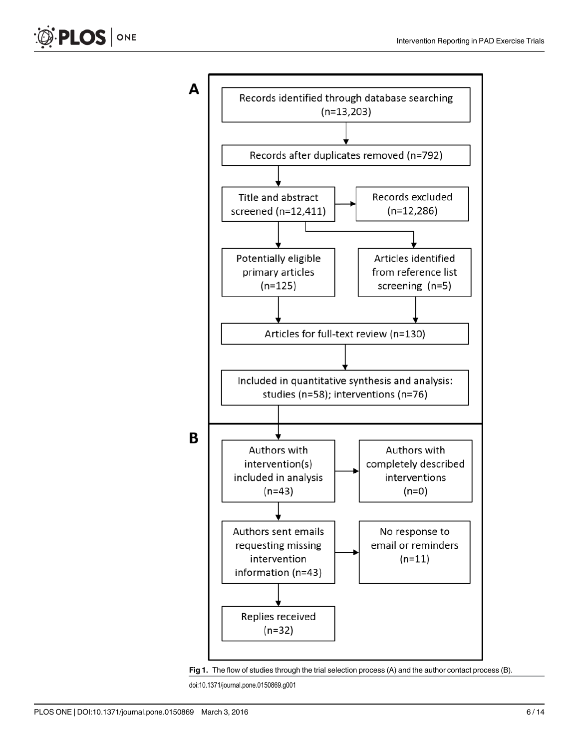<span id="page-6-0"></span>

[Fig 1.](#page-4-0) The flow of studies through the trial selection process (A) and the author contact process (B).

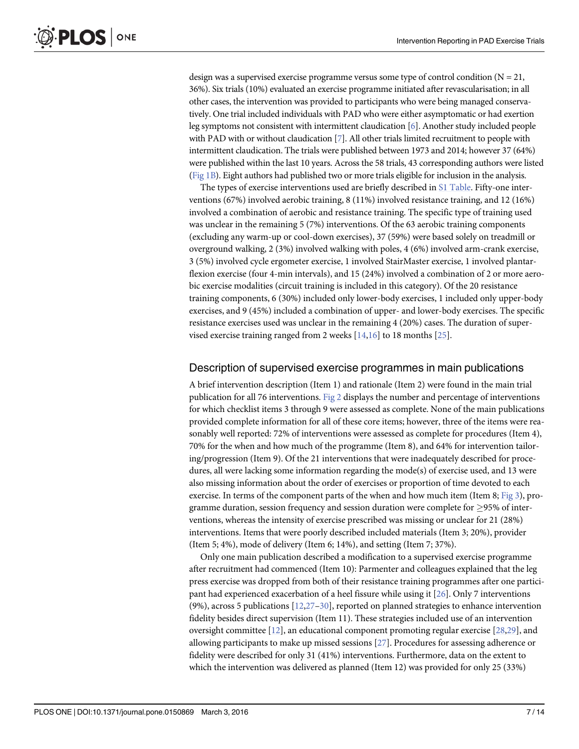<span id="page-7-0"></span>design was a supervised exercise programme versus some type of control condition ( $N = 21$ , 36%). Six trials (10%) evaluated an exercise programme initiated after revascularisation; in all other cases, the intervention was provided to participants who were being managed conservatively. One trial included individuals with PAD who were either asymptomatic or had exertion leg symptoms not consistent with intermittent claudication [\[6](#page-12-0)]. Another study included people with PAD with or without claudication  $\left[\frac{7}{1}\right]$ . All other trials limited recruitment to people with intermittent claudication. The trials were published between 1973 and 2014; however 37 (64%) were published within the last 10 years. Across the 58 trials, 43 corresponding authors were listed [\(Fig 1B](#page-5-0)). Eight authors had published two or more trials eligible for inclusion in the analysis.

The types of exercise interventions used are briefly described in [S1 Table.](#page-11-0) Fifty-one interventions (67%) involved aerobic training, 8 (11%) involved resistance training, and 12 (16%) involved a combination of aerobic and resistance training. The specific type of training used was unclear in the remaining 5 (7%) interventions. Of the 63 aerobic training components (excluding any warm-up or cool-down exercises), 37 (59%) were based solely on treadmill or overground walking, 2 (3%) involved walking with poles, 4 (6%) involved arm-crank exercise, 3 (5%) involved cycle ergometer exercise, 1 involved StairMaster exercise, 1 involved plantarflexion exercise (four 4-min intervals), and 15 (24%) involved a combination of 2 or more aerobic exercise modalities (circuit training is included in this category). Of the 20 resistance training components, 6 (30%) included only lower-body exercises, 1 included only upper-body exercises, and 9 (45%) included a combination of upper- and lower-body exercises. The specific resistance exercises used was unclear in the remaining 4 (20%) cases. The duration of supervised exercise training ranged from 2 weeks [[14,16](#page-12-0)] to 18 months [[25](#page-13-0)].

#### Description of supervised exercise programmes in main publications

A brief intervention description (Item 1) and rationale (Item 2) were found in the main trial publication for all 76 interventions. Fig 2 displays the number and percentage of interventions for which checklist items 3 through 9 were assessed as complete. None of the main publications provided complete information for all of these core items; however, three of the items were reasonably well reported: 72% of interventions were assessed as complete for procedures (Item 4), 70% for the when and how much of the programme (Item 8), and 64% for intervention tailoring/progression (Item 9). Of the 21 interventions that were inadequately described for procedures, all were lacking some information regarding the mode(s) of exercise used, and 13 were also missing information about the order of exercises or proportion of time devoted to each exercise. In terms of the component parts of the when and how much item (Item 8; [Fig 3](#page-8-0)), programme duration, session frequency and session duration were complete for  $\geq$ 95% of interventions, whereas the intensity of exercise prescribed was missing or unclear for 21 (28%) interventions. Items that were poorly described included materials (Item 3; 20%), provider (Item 5; 4%), mode of delivery (Item 6; 14%), and setting (Item 7; 37%).

Only one main publication described a modification to a supervised exercise programme after recruitment had commenced (Item 10): Parmenter and colleagues explained that the leg press exercise was dropped from both of their resistance training programmes after one participant had experienced exacerbation of a heel fissure while using it [[26](#page-13-0)]. Only 7 interventions (9%), across 5 publications  $[12, 27-30]$  $[12, 27-30]$  $[12, 27-30]$  $[12, 27-30]$ , reported on planned strategies to enhance intervention fidelity besides direct supervision (Item 11). These strategies included use of an intervention oversight committee [[12](#page-12-0)], an educational component promoting regular exercise [\[28,29\]](#page-13-0), and allowing participants to make up missed sessions [\[27\]](#page-13-0). Procedures for assessing adherence or fidelity were described for only 31 (41%) interventions. Furthermore, data on the extent to which the intervention was delivered as planned (Item 12) was provided for only 25 (33%)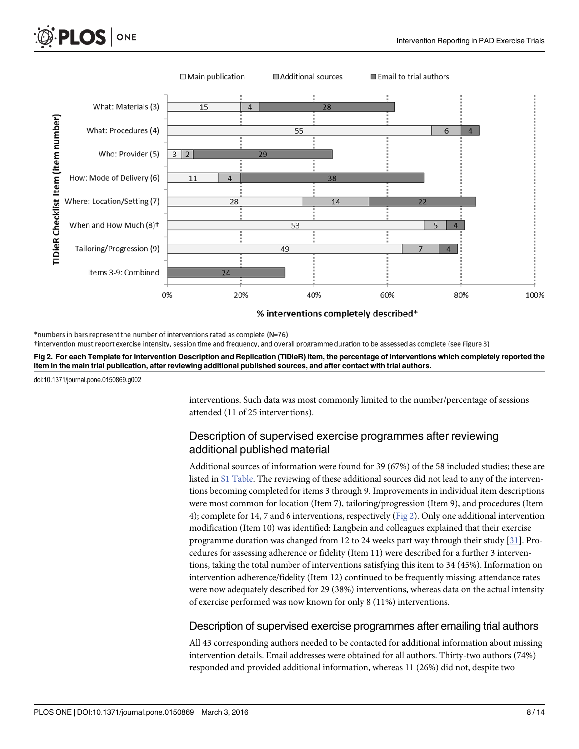<span id="page-8-0"></span>

\*numbers in bars represent the number of interventions rated as complete (N=76)

tintervention must report exercise intensity, session time and frequency, and overall programme duration to be assessed as complete (see Figure 3)

[Fig 2. F](#page-6-0)or each Template for Intervention Description and Replication (TIDieR) item, the percentage of interventions which completely reported the item in the main trial publication, after reviewing additional published sources, and after contact with trial authors.

doi:10.1371/journal.pone.0150869.g002

interventions. Such data was most commonly limited to the number/percentage of sessions attended (11 of 25 interventions).

#### Description of supervised exercise programmes after reviewing additional published material

Additional sources of information were found for 39 (67%) of the 58 included studies; these are listed in [S1 Table](#page-11-0). The reviewing of these additional sources did not lead to any of the interventions becoming completed for items 3 through 9. Improvements in individual item descriptions were most common for location (Item 7), tailoring/progression (Item 9), and procedures (Item 4); complete for 14, 7 and 6 interventions, respectively ([Fig 2\)](#page-7-0). Only one additional intervention modification (Item 10) was identified: Langbein and colleagues explained that their exercise programme duration was changed from 12 to 24 weeks part way through their study [[31\]](#page-13-0). Procedures for assessing adherence or fidelity (Item 11) were described for a further 3 interventions, taking the total number of interventions satisfying this item to 34 (45%). Information on intervention adherence/fidelity (Item 12) continued to be frequently missing: attendance rates were now adequately described for 29 (38%) interventions, whereas data on the actual intensity of exercise performed was now known for only 8 (11%) interventions.

#### Description of supervised exercise programmes after emailing trial authors

All 43 corresponding authors needed to be contacted for additional information about missing intervention details. Email addresses were obtained for all authors. Thirty-two authors (74%) responded and provided additional information, whereas 11 (26%) did not, despite two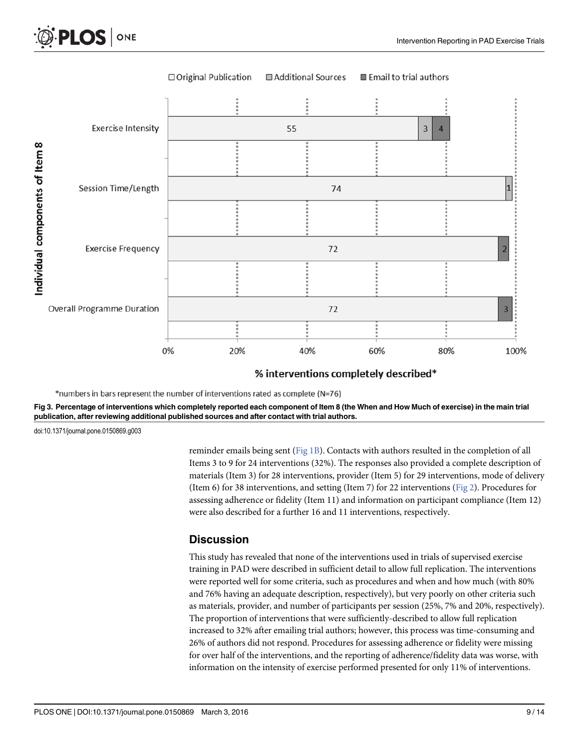<span id="page-9-0"></span>

% interventions completely described\*

\*numbers in bars represent the number of interventions rated as complete (N=76)

[Fig 3. P](#page-6-0)ercentage of interventions which completely reported each component of Item 8 (the When and How Much of exercise) in the main trial publication, after reviewing additional published sources and after contact with trial authors.

doi:10.1371/journal.pone.0150869.g003

reminder emails being sent ( $Fig 1B$ ). Contacts with authors resulted in the completion of all Items 3 to 9 for 24 interventions (32%). The responses also provided a complete description of materials (Item 3) for 28 interventions, provider (Item 5) for 29 interventions, mode of delivery (Item 6) for 38 interventions, and setting (Item 7) for 22 interventions ( $Fig 2$ ). Procedures for assessing adherence or fidelity (Item 11) and information on participant compliance (Item 12) were also described for a further 16 and 11 interventions, respectively.

#### **Discussion**

This study has revealed that none of the interventions used in trials of supervised exercise training in PAD were described in sufficient detail to allow full replication. The interventions were reported well for some criteria, such as procedures and when and how much (with 80% and 76% having an adequate description, respectively), but very poorly on other criteria such as materials, provider, and number of participants per session (25%, 7% and 20%, respectively). The proportion of interventions that were sufficiently-described to allow full replication increased to 32% after emailing trial authors; however, this process was time-consuming and 26% of authors did not respond. Procedures for assessing adherence or fidelity were missing for over half of the interventions, and the reporting of adherence/fidelity data was worse, with information on the intensity of exercise performed presented for only 11% of interventions.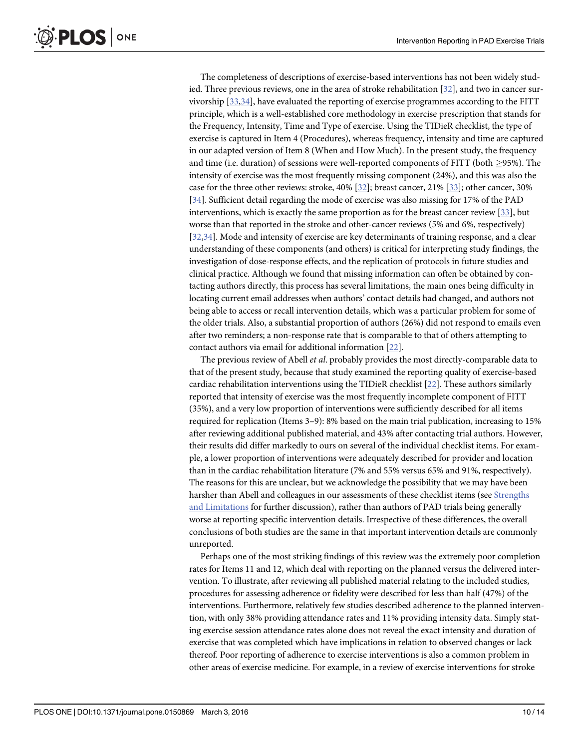<span id="page-10-0"></span>The completeness of descriptions of exercise-based interventions has not been widely studied. Three previous reviews, one in the area of stroke rehabilitation [[32](#page-13-0)], and two in cancer survivorship [[33](#page-13-0),[34](#page-13-0)], have evaluated the reporting of exercise programmes according to the FITT principle, which is a well-established core methodology in exercise prescription that stands for the Frequency, Intensity, Time and Type of exercise. Using the TIDieR checklist, the type of exercise is captured in Item 4 (Procedures), whereas frequency, intensity and time are captured in our adapted version of Item 8 (When and How Much). In the present study, the frequency and time (i.e. duration) of sessions were well-reported components of FITT (both  $>95%$ ). The intensity of exercise was the most frequently missing component (24%), and this was also the case for the three other reviews: stroke, 40% [\[32](#page-13-0)]; breast cancer, 21% [\[33\]](#page-13-0); other cancer, 30% [\[34](#page-13-0)]. Sufficient detail regarding the mode of exercise was also missing for 17% of the PAD interventions, which is exactly the same proportion as for the breast cancer review  $[33]$  $[33]$  $[33]$ , but worse than that reported in the stroke and other-cancer reviews (5% and 6%, respectively) [\[32,34\]](#page-13-0). Mode and intensity of exercise are key determinants of training response, and a clear understanding of these components (and others) is critical for interpreting study findings, the investigation of dose-response effects, and the replication of protocols in future studies and clinical practice. Although we found that missing information can often be obtained by contacting authors directly, this process has several limitations, the main ones being difficulty in locating current email addresses when authors' contact details had changed, and authors not being able to access or recall intervention details, which was a particular problem for some of the older trials. Also, a substantial proportion of authors (26%) did not respond to emails even after two reminders; a non-response rate that is comparable to that of others attempting to contact authors via email for additional information [[22](#page-12-0)].

The previous review of Abell et al. probably provides the most directly-comparable data to that of the present study, because that study examined the reporting quality of exercise-based cardiac rehabilitation interventions using the TIDieR checklist [\[22\]](#page-12-0). These authors similarly reported that intensity of exercise was the most frequently incomplete component of FITT (35%), and a very low proportion of interventions were sufficiently described for all items required for replication (Items 3–9): 8% based on the main trial publication, increasing to 15% after reviewing additional published material, and 43% after contacting trial authors. However, their results did differ markedly to ours on several of the individual checklist items. For example, a lower proportion of interventions were adequately described for provider and location than in the cardiac rehabilitation literature (7% and 55% versus 65% and 91%, respectively). The reasons for this are unclear, but we acknowledge the possibility that we may have been harsher than Abell and colleagues in our assessments of these checklist items (see Strengths and Limitations for further discussion), rather than authors of PAD trials being generally worse at reporting specific intervention details. Irrespective of these differences, the overall conclusions of both studies are the same in that important intervention details are commonly unreported.

Perhaps one of the most striking findings of this review was the extremely poor completion rates for Items 11 and 12, which deal with reporting on the planned versus the delivered intervention. To illustrate, after reviewing all published material relating to the included studies, procedures for assessing adherence or fidelity were described for less than half (47%) of the interventions. Furthermore, relatively few studies described adherence to the planned intervention, with only 38% providing attendance rates and 11% providing intensity data. Simply stating exercise session attendance rates alone does not reveal the exact intensity and duration of exercise that was completed which have implications in relation to observed changes or lack thereof. Poor reporting of adherence to exercise interventions is also a common problem in other areas of exercise medicine. For example, in a review of exercise interventions for stroke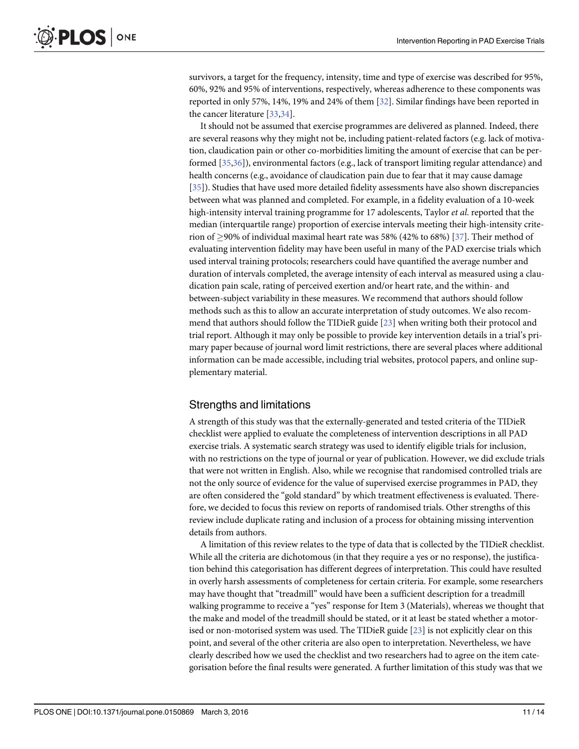<span id="page-11-0"></span>survivors, a target for the frequency, intensity, time and type of exercise was described for 95%, 60%, 92% and 95% of interventions, respectively, whereas adherence to these components was reported in only 57%, 14%, 19% and 24% of them [\[32](#page-13-0)]. Similar findings have been reported in the cancer literature [[33,34](#page-13-0)].

It should not be assumed that exercise programmes are delivered as planned. Indeed, there are several reasons why they might not be, including patient-related factors (e.g. lack of motivation, claudication pain or other co-morbidities limiting the amount of exercise that can be performed [[35](#page-13-0),[36](#page-13-0)]), environmental factors (e.g., lack of transport limiting regular attendance) and health concerns (e.g., avoidance of claudication pain due to fear that it may cause damage [\[35](#page-13-0)]). Studies that have used more detailed fidelity assessments have also shown discrepancies between what was planned and completed. For example, in a fidelity evaluation of a 10-week high-intensity interval training programme for 17 adolescents, Taylor et al. reported that the median (interquartile range) proportion of exercise intervals meeting their high-intensity criterion of 90% of individual maximal heart rate was 58% (42% to 68%) [\[37\]](#page-13-0). Their method of evaluating intervention fidelity may have been useful in many of the PAD exercise trials which used interval training protocols; researchers could have quantified the average number and duration of intervals completed, the average intensity of each interval as measured using a claudication pain scale, rating of perceived exertion and/or heart rate, and the within- and between-subject variability in these measures. We recommend that authors should follow methods such as this to allow an accurate interpretation of study outcomes. We also recommend that authors should follow the TIDieR guide [[23](#page-13-0)] when writing both their protocol and trial report. Although it may only be possible to provide key intervention details in a trial's primary paper because of journal word limit restrictions, there are several places where additional information can be made accessible, including trial websites, protocol papers, and online supplementary material.

#### Strengths and limitations

A strength of this study was that the externally-generated and tested criteria of the TIDieR checklist were applied to evaluate the completeness of intervention descriptions in all PAD exercise trials. A systematic search strategy was used to identify eligible trials for inclusion, with no restrictions on the type of journal or year of publication. However, we did exclude trials that were not written in English. Also, while we recognise that randomised controlled trials are not the only source of evidence for the value of supervised exercise programmes in PAD, they are often considered the "gold standard" by which treatment effectiveness is evaluated. Therefore, we decided to focus this review on reports of randomised trials. Other strengths of this review include duplicate rating and inclusion of a process for obtaining missing intervention details from authors.

A limitation of this review relates to the type of data that is collected by the TIDieR checklist. While all the criteria are dichotomous (in that they require a yes or no response), the justification behind this categorisation has different degrees of interpretation. This could have resulted in overly harsh assessments of completeness for certain criteria. For example, some researchers may have thought that "treadmill" would have been a sufficient description for a treadmill walking programme to receive a "yes" response for Item 3 (Materials), whereas we thought that the make and model of the treadmill should be stated, or it at least be stated whether a motorised or non-motorised system was used. The TIDieR guide [[23\]](#page-13-0) is not explicitly clear on this point, and several of the other criteria are also open to interpretation. Nevertheless, we have clearly described how we used the checklist and two researchers had to agree on the item categorisation before the final results were generated. A further limitation of this study was that we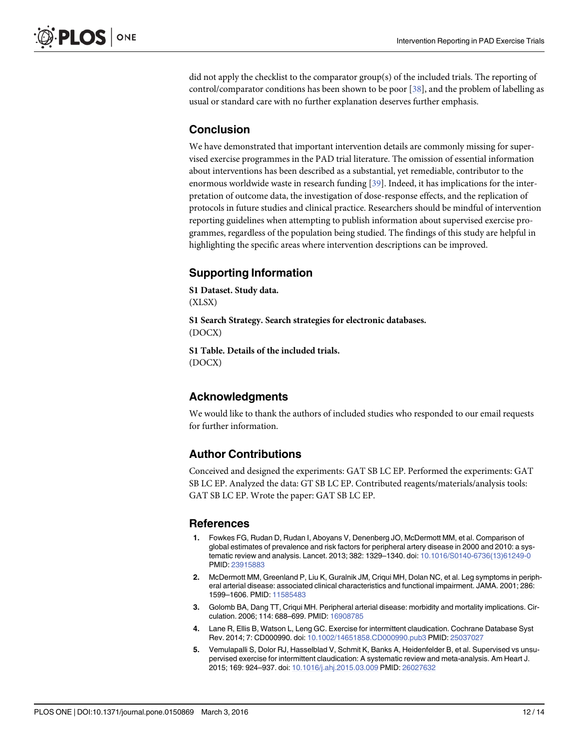<span id="page-12-0"></span>did not apply the checklist to the comparator group(s) of the included trials. The reporting of control/comparator conditions has been shown to be poor [\[38\]](#page-13-0), and the problem of labelling as usual or standard care with no further explanation deserves further emphasis.

#### Conclusion

We have demonstrated that important intervention details are commonly missing for supervised exercise programmes in the PAD trial literature. The omission of essential information about interventions has been described as a substantial, yet remediable, contributor to the enormous worldwide waste in research funding [\[39\]](#page-13-0). Indeed, it has implications for the interpretation of outcome data, the investigation of dose-response effects, and the replication of protocols in future studies and clinical practice. Researchers should be mindful of intervention reporting guidelines when attempting to publish information about supervised exercise programmes, regardless of the population being studied. The findings of this study are helpful in highlighting the specific areas where intervention descriptions can be improved.

#### Supporting Information

[S1 Dataset.](http://www.plosone.org/article/fetchSingleRepresentation.action?uri=info:doi/10.1371/journal.pone.0150869.s001) Study data. (XLSX)

[S1 Search Strategy.](http://www.plosone.org/article/fetchSingleRepresentation.action?uri=info:doi/10.1371/journal.pone.0150869.s002) Search strategies for electronic databases. (DOCX)

[S1 Table](http://www.plosone.org/article/fetchSingleRepresentation.action?uri=info:doi/10.1371/journal.pone.0150869.s003). Details of the included trials. (DOCX)

#### Acknowledgments

We would like to thank the authors of included studies who responded to our email requests for further information.

#### Author Contributions

Conceived and designed the experiments: GAT SB LC EP. Performed the experiments: GAT SB LC EP. Analyzed the data: GT SB LC EP. Contributed reagents/materials/analysis tools: GAT SB LC EP. Wrote the paper: GAT SB LC EP.

#### References

- [1.](#page-1-0) Fowkes FG, Rudan D, Rudan I, Aboyans V, Denenberg JO, McDermott MM, et al. Comparison of global estimates of prevalence and risk factors for peripheral artery disease in 2000 and 2010: a systematic review and analysis. Lancet. 2013; 382: 1329–1340. doi: [10.1016/S0140-6736\(13\)61249-0](http://dx.doi.org/10.1016/S0140-6736(13)61249-0) PMID: [23915883](http://www.ncbi.nlm.nih.gov/pubmed/23915883)
- [2.](#page-1-0) McDermott MM, Greenland P, Liu K, Guralnik JM, Criqui MH, Dolan NC, et al. Leg symptoms in peripheral arterial disease: associated clinical characteristics and functional impairment. JAMA. 2001; 286: 1599–1606. PMID: [11585483](http://www.ncbi.nlm.nih.gov/pubmed/11585483)
- [3.](#page-1-0) Golomb BA, Dang TT, Criqui MH. Peripheral arterial disease: morbidity and mortality implications. Circulation. 2006; 114: 688–699. PMID: [16908785](http://www.ncbi.nlm.nih.gov/pubmed/16908785)
- [4.](#page-1-0) Lane R, Ellis B, Watson L, Leng GC. Exercise for intermittent claudication. Cochrane Database Syst Rev. 2014; 7: CD000990. doi: [10.1002/14651858.CD000990.pub3](http://dx.doi.org/10.1002/14651858.CD000990.pub3) PMID: [25037027](http://www.ncbi.nlm.nih.gov/pubmed/25037027)
- [5.](#page-1-0) Vemulapalli S, Dolor RJ, Hasselblad V, Schmit K, Banks A, Heidenfelder B, et al. Supervised vs unsupervised exercise for intermittent claudication: A systematic review and meta-analysis. Am Heart J. 2015; 169: 924–937. doi: [10.1016/j.ahj.2015.03.009](http://dx.doi.org/10.1016/j.ahj.2015.03.009) PMID: [26027632](http://www.ncbi.nlm.nih.gov/pubmed/26027632)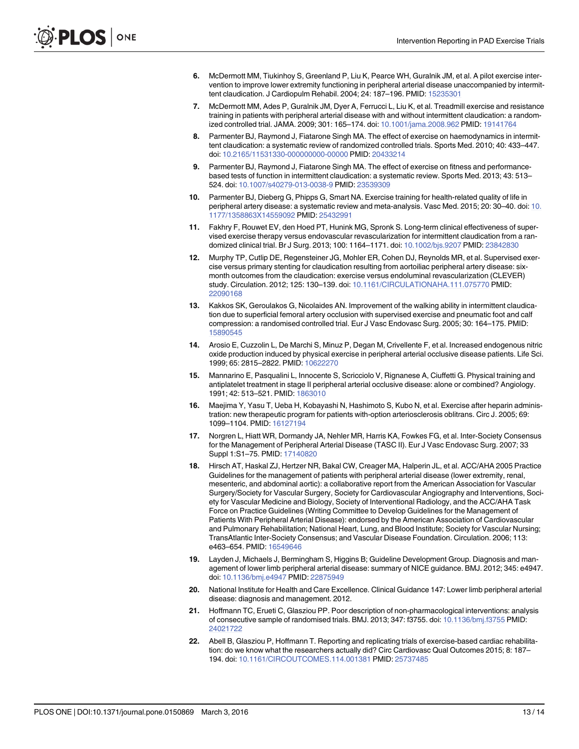- <span id="page-13-0"></span>[6.](#page-1-0) McDermott MM, Tiukinhoy S, Greenland P, Liu K, Pearce WH, Guralnik JM, et al. A pilot exercise intervention to improve lower extremity functioning in peripheral arterial disease unaccompanied by intermittent claudication. J Cardiopulm Rehabil. 2004; 24: 187–196. PMID: [15235301](http://www.ncbi.nlm.nih.gov/pubmed/15235301)
- [7.](#page-1-0) McDermott MM, Ades P, Guralnik JM, Dyer A, Ferrucci L, Liu K, et al. Treadmill exercise and resistance training in patients with peripheral arterial disease with and without intermittent claudication: a randomized controlled trial. JAMA. 2009; 301: 165–174. doi: [10.1001/jama.2008.962](http://dx.doi.org/10.1001/jama.2008.962) PMID: [19141764](http://www.ncbi.nlm.nih.gov/pubmed/19141764)
- [8.](#page-1-0) Parmenter BJ, Raymond J, Fiatarone Singh MA. The effect of exercise on haemodynamics in intermittent claudication: a systematic review of randomized controlled trials. Sports Med. 2010; 40: 433–447. doi: [10.2165/11531330-000000000-00000](http://dx.doi.org/10.2165/11531330-000000000-00000) PMID: [20433214](http://www.ncbi.nlm.nih.gov/pubmed/20433214)
- 9. Parmenter BJ, Raymond J, Fiatarone Singh MA. The effect of exercise on fitness and performancebased tests of function in intermittent claudication: a systematic review. Sports Med. 2013; 43: 513– 524. doi: [10.1007/s40279-013-0038-9](http://dx.doi.org/10.1007/s40279-013-0038-9) PMID: [23539309](http://www.ncbi.nlm.nih.gov/pubmed/23539309)
- [10.](#page-1-0) Parmenter BJ, Dieberg G, Phipps G, Smart NA. Exercise training for health-related quality of life in peripheral artery disease: a systematic review and meta-analysis. Vasc Med. 2015; 20: 30–40. doi: [10.](http://dx.doi.org/10.1177/1358863X14559092) [1177/1358863X14559092](http://dx.doi.org/10.1177/1358863X14559092) PMID: [25432991](http://www.ncbi.nlm.nih.gov/pubmed/25432991)
- [11.](#page-1-0) Fakhry F, Rouwet EV, den Hoed PT, Hunink MG, Spronk S. Long-term clinical effectiveness of supervised exercise therapy versus endovascular revascularization for intermittent claudication from a randomized clinical trial. Br J Surg. 2013; 100: 1164–1171. doi: [10.1002/bjs.9207](http://dx.doi.org/10.1002/bjs.9207) PMID: [23842830](http://www.ncbi.nlm.nih.gov/pubmed/23842830)
- [12.](#page-1-0) Murphy TP, Cutlip DE, Regensteiner JG, Mohler ER, Cohen DJ, Reynolds MR, et al. Supervised exercise versus primary stenting for claudication resulting from aortoiliac peripheral artery disease: sixmonth outcomes from the claudication: exercise versus endoluminal revascularization (CLEVER) study. Circulation. 2012; 125: 130–139. doi: [10.1161/CIRCULATIONAHA.111.075770](http://dx.doi.org/10.1161/CIRCULATIONAHA.111.075770) PMID: [22090168](http://www.ncbi.nlm.nih.gov/pubmed/22090168)
- [13.](#page-1-0) Kakkos SK, Geroulakos G, Nicolaides AN. Improvement of the walking ability in intermittent claudication due to superficial femoral artery occlusion with supervised exercise and pneumatic foot and calf compression: a randomised controlled trial. Eur J Vasc Endovasc Surg. 2005; 30: 164–175. PMID: [15890545](http://www.ncbi.nlm.nih.gov/pubmed/15890545)
- [14.](#page-1-0) Arosio E, Cuzzolin L, De Marchi S, Minuz P, Degan M, Crivellente F, et al. Increased endogenous nitric oxide production induced by physical exercise in peripheral arterial occlusive disease patients. Life Sci. 1999; 65: 2815–2822. PMID: [10622270](http://www.ncbi.nlm.nih.gov/pubmed/10622270)
- 15. Mannarino E, Pasqualini L, Innocente S, Scricciolo V, Rignanese A, Ciuffetti G. Physical training and antiplatelet treatment in stage II peripheral arterial occlusive disease: alone or combined? Angiology. 1991; 42: 513–521. PMID: [1863010](http://www.ncbi.nlm.nih.gov/pubmed/1863010)
- [16.](#page-1-0) Maejima Y, Yasu T, Ueba H, Kobayashi N, Hashimoto S, Kubo N, et al. Exercise after heparin administration: new therapeutic program for patients with-option arteriosclerosis oblitrans. Circ J. 2005; 69: 1099–1104. PMID: [16127194](http://www.ncbi.nlm.nih.gov/pubmed/16127194)
- [17.](#page-1-0) Norgren L, Hiatt WR, Dormandy JA, Nehler MR, Harris KA, Fowkes FG, et al. Inter-Society Consensus for the Management of Peripheral Arterial Disease (TASC II). Eur J Vasc Endovasc Surg. 2007; 33 Suppl 1:S1–75. PMID: [17140820](http://www.ncbi.nlm.nih.gov/pubmed/17140820)
- 18. Hirsch AT, Haskal ZJ, Hertzer NR, Bakal CW, Creager MA, Halperin JL, et al. ACC/AHA 2005 Practice Guidelines for the management of patients with peripheral arterial disease (lower extremity, renal, mesenteric, and abdominal aortic): a collaborative report from the American Association for Vascular Surgery/Society for Vascular Surgery, Society for Cardiovascular Angiography and Interventions, Society for Vascular Medicine and Biology, Society of Interventional Radiology, and the ACC/AHA Task Force on Practice Guidelines (Writing Committee to Develop Guidelines for the Management of Patients With Peripheral Arterial Disease): endorsed by the American Association of Cardiovascular and Pulmonary Rehabilitation; National Heart, Lung, and Blood Institute; Society for Vascular Nursing; TransAtlantic Inter-Society Consensus; and Vascular Disease Foundation. Circulation. 2006; 113: e463–654. PMID: [16549646](http://www.ncbi.nlm.nih.gov/pubmed/16549646)
- [19.](#page-1-0) Layden J, Michaels J, Bermingham S, Higgins B; Guideline Development Group. Diagnosis and management of lower limb peripheral arterial disease: summary of NICE guidance. BMJ. 2012; 345: e4947. doi: [10.1136/bmj.e4947](http://dx.doi.org/10.1136/bmj.e4947) PMID: [22875949](http://www.ncbi.nlm.nih.gov/pubmed/22875949)
- [20.](#page-1-0) National Institute for Health and Care Excellence. Clinical Guidance 147: Lower limb peripheral arterial disease: diagnosis and management. 2012.
- [21.](#page-1-0) Hoffmann TC, Erueti C, Glasziou PP. Poor description of non-pharmacological interventions: analysis of consecutive sample of randomised trials. BMJ. 2013; 347: f3755. doi: [10.1136/bmj.f3755](http://dx.doi.org/10.1136/bmj.f3755) PMID: [24021722](http://www.ncbi.nlm.nih.gov/pubmed/24021722)
- [22.](#page-2-0) Abell B, Glasziou P, Hoffmann T. Reporting and replicating trials of exercise-based cardiac rehabilitation: do we know what the researchers actually did? Circ Cardiovasc Qual Outcomes 2015; 8: 187– 194. doi: [10.1161/CIRCOUTCOMES.114.001381](http://dx.doi.org/10.1161/CIRCOUTCOMES.114.001381) PMID: [25737485](http://www.ncbi.nlm.nih.gov/pubmed/25737485)